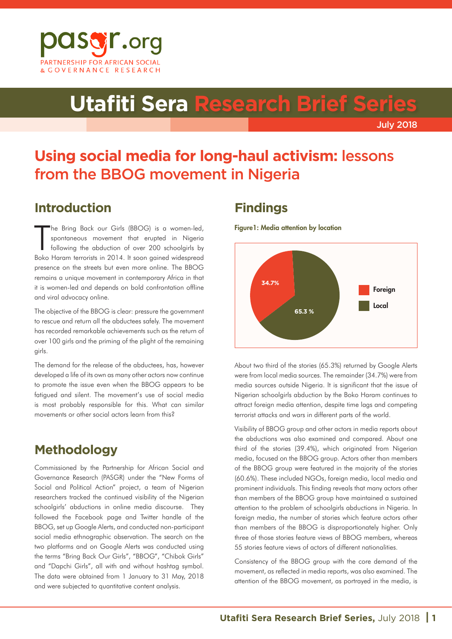

# **Utafiti Sera Research Brief Series**

July 2018

## **Using social media for long-haul activism:** lessons from the BBOG movement in Nigeria

## **Introduction**

T he Bring Back our Girls (BBOG) is a women-led, spontaneous movement that erupted in Nigeria following the abduction of over 200 schoolgirls by Boko Haram terrorists in 2014. It soon gained widespread presence on the streets but even more online. The BBOG remains a unique movement in contemporary Africa in that it is women-led and depends on bold confrontation offline and viral advocacy online.

The objective of the BBOG is clear: pressure the government to rescue and return all the abductees safely. The movement has recorded remarkable achievements such as the return of over 100 girls and the priming of the plight of the remaining girls.

The demand for the release of the abductees, has, however developed a life of its own as many other actors now continue to promote the issue even when the BBOG appears to be fatigued and silent. The movement's use of social media is most probably responsible for this. What can similar movements or other social actors learn from this?

## **Methodology**

Commissioned by the Partnership for African Social and Governance Research (PASGR) under the "New Forms of Social and Political Action" project, a team of Nigerian researchers tracked the continued visibility of the Nigerian schoolgirls' abductions in online media discourse. They followed the Facebook page and Twitter handle of the BBOG, set up Google Alerts, and conducted non-participant social media ethnographic observation. The search on the two platforms and on Google Alerts was conducted using the terms "Bring Back Our Girls", "BBOG", "Chibok Girls" and "Dapchi Girls", all with and without hashtag symbol. The data were obtained from 1 January to 31 May, 2018 and were subjected to quantitative content analysis.

## **Findings**

Figure1: Media attention by location



About two third of the stories (65.3%) returned by Google Alerts were from local media sources. The remainder (34.7%) were from media sources outside Nigeria. It is significant that the issue of Nigerian schoolgirls abduction by the Boko Haram continues to attract foreign media attention, despite time lags and competing terrorist attacks and wars in different parts of the world.

Visibility of BBOG group and other actors in media reports about the abductions was also examined and compared. About one third of the stories (39.4%), which originated from Nigerian media, focused on the BBOG group. Actors other than members of the BBOG group were featured in the majority of the stories (60.6%). These included NGOs, foreign media, local media and prominent individuals. This finding reveals that many actors other than members of the BBOG group have maintained a sustained attention to the problem of schoolgirls abductions in Nigeria. In foreign media, the number of stories which feature actors other than members of the BBOG is disproportionately higher. Only three of those stories feature views of BBOG members, whereas 55 stories feature views of actors of different nationalities.

Consistency of the BBOG group with the core demand of the movement, as reflected in media reports, was also examined. The attention of the BBOG movement, as portrayed in the media, is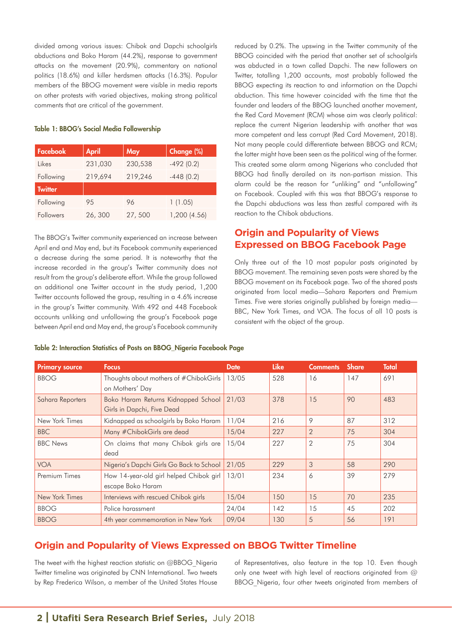divided among various issues: Chibok and Dapchi schoolgirls abductions and Boko Haram (44.2%), response to government attacks on the movement (20.9%), commentary on national politics (18.6%) and killer herdsmen attacks (16.3%). Popular members of the BBOG movement were visible in media reports on other protests with varied objectives, making strong political comments that are critical of the government.

#### Table 1: BBOG's Social Media Followership

| Facebook       | <b>April</b> | May     | Change (%)   |  |  |
|----------------|--------------|---------|--------------|--|--|
| l ikes         | 231,030      | 230,538 | $-492(0.2)$  |  |  |
| Following      | 219,694      | 219,246 | $-448(0.2)$  |  |  |
| <b>Twitter</b> |              |         |              |  |  |
| Following      | 95           | 96      | 1(1.05)      |  |  |
| Followers      | 26,300       | 27,500  | 1,200 (4.56) |  |  |

The BBOG's Twitter community experienced an increase between April end and May end, but its Facebook community experienced a decrease during the same period. It is noteworthy that the increase recorded in the group's Twitter community does not result from the group's deliberate effort. While the group followed an additional one Twitter account in the study period, 1,200 Twitter accounts followed the group, resulting in a 4.6% increase in the group's Twitter community. With 492 and 448 Facebook accounts unliking and unfollowing the group's Facebook page between April end and May end, the group's Facebook community

reduced by 0.2%. The upswing in the Twitter community of the BBOG coincided with the period that another set of schoolgirls was abducted in a town called Dapchi. The new followers on Twitter, totalling 1,200 accounts, most probably followed the BBOG expecting its reaction to and information on the Dapchi abduction. This time however coincided with the time that the founder and leaders of the BBOG launched another movement, the Red Card Movement (RCM) whose aim was clearly political: replace the current Nigerian leadership with another that was more competent and less corrupt (Red Card Movement, 2018). Not many people could differentiate between BBOG and RCM; the latter might have been seen as the political wing of the former. This created some alarm among Nigerians who concluded that BBOG had finally derailed on its non-partisan mission. This alarm could be the reason for "unliking" and "unfollowing" on Facebook. Coupled with this was that BBOG's response to the Dapchi abductions was less than zestful compared with its reaction to the Chibok abductions.

#### **Origin and Popularity of Views Expressed on BBOG Facebook Page**

Only three out of the 10 most popular posts originated by BBOG movement. The remaining seven posts were shared by the BBOG movement on its Facebook page. Two of the shared posts originated from local media—Sahara Reporters and Premium Times. Five were stories originally published by foreign media— BBC, New York Times, and VOA. The focus of all 10 posts is consistent with the object of the group.

|  | Table 2: Interaction Statistics of Posts on BBOG_Nigeria Facebook Page |
|--|------------------------------------------------------------------------|
|--|------------------------------------------------------------------------|

| <b>Primary source</b> | <b>Focus</b>                                                      | <b>Date</b> | <b>Like</b> | <b>Comments</b> | <b>Share</b> | Total |
|-----------------------|-------------------------------------------------------------------|-------------|-------------|-----------------|--------------|-------|
| <b>BBOG</b>           | Thoughts about mothers of #ChibokGirls<br>on Mothers' Day         | 13/05       | 528         | 16              | 147          | 691   |
| Sahara Reporters      | Boko Haram Returns Kidnapped School<br>Girls in Dapchi, Five Dead | 21/03       | 378         | 15              | 90           | 483   |
| New York Times        | Kidnapped as schoolgirls by Boko Haram                            | 11/04       | 216         | 9               | 87           | 312   |
| <b>BBC</b>            | Many #ChibokGirls are dead                                        | 15/04       | 227         | $\overline{2}$  | 75           | 304   |
| <b>BBC</b> News       | On claims that many Chibok girls are<br>dead                      | 15/04       | 227         | $\overline{2}$  | 75           | 304   |
| <b>VOA</b>            | Nigeria's Dapchi Girls Go Back to School                          | 21/05       | 229         | 3               | 58           | 290   |
| Premium Times         | How 14-year-old girl helped Chibok girl<br>escape Boko Haram      | 13/01       | 234         | 6               | 39           | 279   |
| New York Times        | Interviews with rescued Chibok girls                              | 15/04       | 150         | 15              | 70           | 235   |
| <b>BBOG</b>           | Police harassment                                                 | 24/04       | 142         | 15              | 45           | 202   |
| <b>BBOG</b>           | 4th year commemoration in New York                                | 09/04       | 130         | 5               | 56           | 191   |

#### **Origin and Popularity of Views Expressed on BBOG Twitter Timeline**

The tweet with the highest reaction statistic on @BBOG\_Nigeria Twitter timeline was originated by CNN International. Two tweets by Rep Frederica Wilson, a member of the United States House of Representatives, also feature in the top 10. Even though only one tweet with high level of reactions originated from @ BBOG Nigeria, four other tweets originated from members of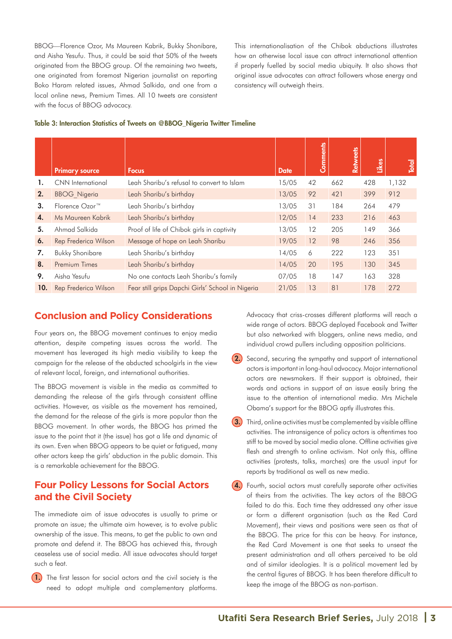BBOG—Florence Ozor, Ms Maureen Kabrik, Bukky Shonibare, and Aisha Yesufu. Thus, it could be said that 50% of the tweets originated from the BBOG group. Of the remaining two tweets, one originated from foremost Nigerian journalist on reporting Boko Haram related issues, Ahmad Salkida, and one from a local online news, Premium Times. All 10 tweets are consistent with the focus of BBOG advocacy.

This internationalisation of the Chibok abductions illustrates how an otherwise local issue can attract international attention if properly fuelled by social media ubiquity. It also shows that original issue advocates can attract followers whose energy and consistency will outweigh theirs.

#### Table 3: Interaction Statistics of Tweets on @BBOG\_Nigeria Twitter Timeline

|     | <b>Primary source</b>      | <b>Focus</b>                                     | <b>Date</b> | Comments | <b>Retweets</b> | Likes | Total |
|-----|----------------------------|--------------------------------------------------|-------------|----------|-----------------|-------|-------|
| 1.  | CNN International          | Leah Sharibu's refusal to convert to Islam       | 15/05       | 42       | 662             | 428   | 1,132 |
| 2.  | <b>BBOG Nigeria</b>        | Leah Sharibu's birthday                          | 13/05       | 92       | 421             | 399   | 912   |
| 3.  | Florence Ozor <sup>™</sup> | Leah Sharibu's birthday                          | 13/05       | 31       | 184             | 264   | 479   |
| 4.  | Ms Maureen Kabrik          | Leah Sharibu's birthday                          | 12/05       | 14       | 233             | 216   | 463   |
| 5.  | Ahmad Salkida              | Proof of life of Chibok girls in captivity       | 13/05       | 12       | 205             | 149   | 366   |
| 6.  | Rep Frederica Wilson       | Message of hope on Leah Sharibu                  | 19/05       | 12       | 98              | 246   | 356   |
| 7.  | <b>Bukky Shonibare</b>     | Leah Sharibu's birthday                          | 14/05       | 6        | 222             | 123   | 351   |
| 8.  | Premium Times              | Leah Sharibu's birthday                          | 14/05       | 20       | 195             | 130   | 345   |
| 9.  | Aisha Yesufu               | No one contacts Leah Sharibu's family            | 07/05       | 18       | 147             | 163   | 328   |
| 10. | Rep Frederica Wilson       | Fear still grips Dapchi Girls' School in Nigeria | 21/05       | 13       | 81              | 178   | 272   |

#### **Conclusion and Policy Considerations**

Four years on, the BBOG movement continues to enjoy media attention, despite competing issues across the world. The movement has leveraged its high media visibility to keep the campaign for the release of the abducted schoolgirls in the view of relevant local, foreign, and international authorities.

The BBOG movement is visible in the media as committed to demanding the release of the girls through consistent offline activities. However, as visible as the movement has remained, the demand for the release of the girls is more popular than the BBOG movement. In other words, the BBOG has primed the issue to the point that it (the issue) has got a life and dynamic of its own. Even when BBOG appears to be quiet or fatigued, many other actors keep the girls' abduction in the public domain. This is a remarkable achievement for the BBOG.

#### **Four Policy Lessons for Social Actors and the Civil Society**

The immediate aim of issue advocates is usually to prime or promote an issue; the ultimate aim however, is to evolve public ownership of the issue. This means, to get the public to own and promote and defend it. The BBOG has achieved this, through ceaseless use of social media. All issue advocates should target such a feat.

1. The first lesson for social actors and the civil society is the need to adopt multiple and complementary platforms.

Advocacy that criss-crosses different platforms will reach a wide range of actors. BBOG deployed Facebook and Twitter but also networked with bloggers, online news media, and individual crowd pullers including opposition politicians.

- **(2.)** Second, securing the sympathy and support of international actors is important in long-haul advocacy. Major international actors are newsmakers. If their support is obtained, their words and actions in support of an issue easily bring the issue to the attention of international media. Mrs Michele Obama's support for the BBOG aptly illustrates this.
- **3.** Third, online activities must be complemented by visible offline activities. The intransigence of policy actors is oftentimes too stiff to be moved by social media alone. Offline activities give flesh and strength to online activism. Not only this, offline activities (protests, talks, marches) are the usual input for reports by traditional as well as new media.
- **4.** Fourth, social actors must carefully separate other activities of theirs from the activities. The key actors of the BBOG failed to do this. Each time they addressed any other issue or form a different organisation (such as the Red Card Movement), their views and positions were seen as that of the BBOG. The price for this can be heavy. For instance, the Red Card Movement is one that seeks to unseat the present administration and all others perceived to be old and of similar ideologies. It is a political movement led by the central figures of BBOG. It has been therefore difficult to keep the image of the BBOG as non-partisan.